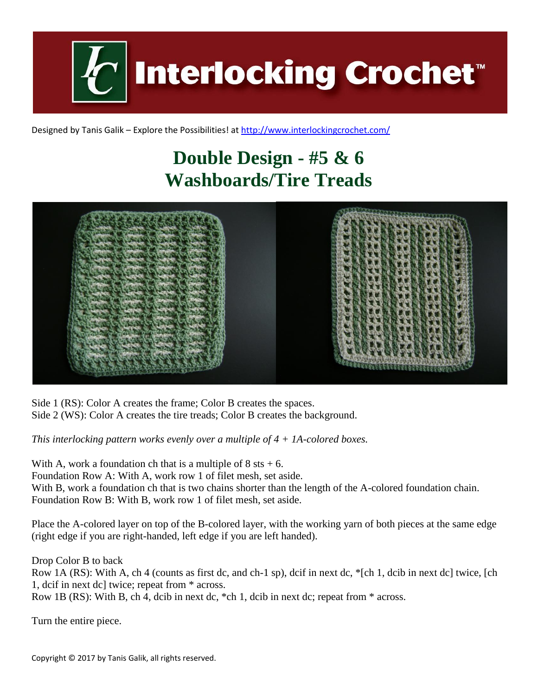**Interlocking Crochet™** 

Designed by Tanis Galik – Explore the Possibilities! a[t http://www.interlockingcrochet.com/](http://www.interlockingcrochet.com/)

## **Double Design - #5 & 6 Washboards/Tire Treads**



Side 1 (RS): Color A creates the frame; Color B creates the spaces. Side 2 (WS): Color A creates the tire treads; Color B creates the background.

*This interlocking pattern works evenly over a multiple of 4 + 1A-colored boxes.*

With A, work a foundation ch that is a multiple of  $8$  sts  $+ 6$ . Foundation Row A: With A, work row 1 of filet mesh, set aside. With B, work a foundation ch that is two chains shorter than the length of the A-colored foundation chain. Foundation Row B: With B, work row 1 of filet mesh, set aside.

Place the A-colored layer on top of the B-colored layer, with the working yarn of both pieces at the same edge (right edge if you are right-handed, left edge if you are left handed).

Drop Color B to back Row 1A (RS): With A, ch 4 (counts as first dc, and ch-1 sp), dcif in next dc, \*[ch 1, dcib in next dc] twice, [ch 1, dcif in next dc] twice; repeat from \* across. Row 1B (RS): With B, ch 4, dcib in next dc, \*ch 1, dcib in next dc; repeat from \* across.

Turn the entire piece.